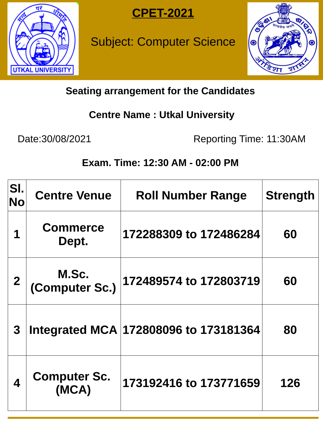



# Subject: Computer Science



## **Seating arrangement for the Candidates**

### **Centre Name : Utkal University**

Date:30/08/2021 Reporting Time: 11:30AM

## **Exam. Time: 12:30 AM - 02:00 PM**







### **4** Computer Sc.<br>(MCA) **(MCA) 173192416 to 173771659 <sup>126</sup>**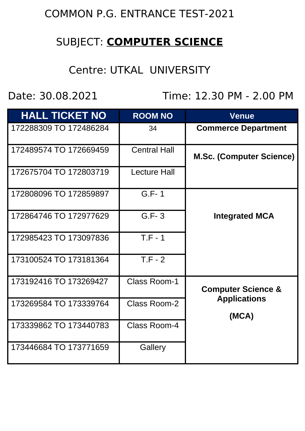#### COMMON P.G. ENTRANCE TEST-2021

#### SUBJECT: **COMPUTER SCIENCE**

Centre: UTKAL UNIVERSITY

Date: 30.08.2021 Time: 12.30 PM - 2.00 PM

| <b>HALL TICKET NO</b>  | <b>ROOM NO</b>      | <b>Venue</b>                    |
|------------------------|---------------------|---------------------------------|
| 172288309 TO 172486284 | 34                  | <b>Commerce Department</b>      |
| 172489574 TO 172669459 | <b>Central Hall</b> | <b>M.Sc. (Computer Science)</b> |
| 172675704 TO 172803719 | <b>Lecture Hall</b> |                                 |
| 172808096 TO 172859897 | $G.F-1$             |                                 |
| 172864746 TO 172977629 | $G.F-3$             | <b>Integrated MCA</b>           |
| 172985423 TO 173097836 | $T.F - 1$           |                                 |
| 173100524 TO 173181364 | $T.F - 2$           |                                 |
| 173192416 TO 173269427 | <b>Class Room-1</b> | <b>Computer Science &amp;</b>   |
| 173269584 TO 173339764 | <b>Class Room-2</b> | <b>Applications</b><br>(MCA)    |
| 173339862 TO 173440783 | <b>Class Room-4</b> |                                 |
| 173446684 TO 173771659 | Gallery             |                                 |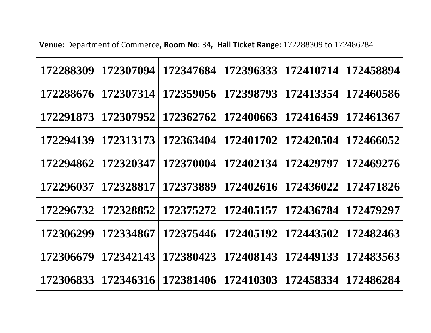**Venue:** Department of Commerce**, Room No:** 34**, Hall Ticket Range:** 172288309 to 172486284

| 172288309 | 172307094 | 172347684 | 172396333 | 172410714 | 172458894 |
|-----------|-----------|-----------|-----------|-----------|-----------|
| 172288676 | 172307314 | 172359056 | 172398793 | 172413354 | 172460586 |
| 172291873 | 172307952 | 172362762 | 172400663 | 172416459 | 172461367 |
| 172294139 | 172313173 | 172363404 | 172401702 | 172420504 | 172466052 |
| 172294862 | 172320347 | 172370004 | 172402134 | 172429797 | 172469276 |
| 172296037 | 172328817 | 172373889 | 172402616 | 172436022 | 172471826 |
| 172296732 | 172328852 | 172375272 | 172405157 | 172436784 | 172479297 |
| 172306299 | 172334867 | 172375446 | 172405192 | 172443502 | 172482463 |
| 172306679 | 172342143 | 172380423 | 172408143 | 172449133 | 172483563 |
| 172306833 | 172346316 | 172381406 | 172410303 | 172458334 | 172486284 |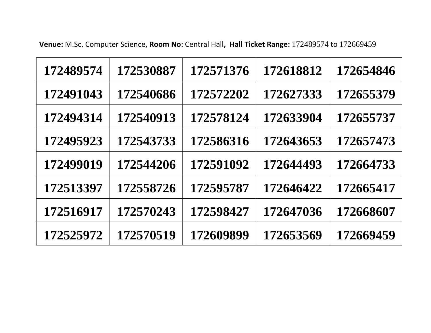**Venue:** M.Sc. Computer Science**, Room No:** Central Hall**, Hall Ticket Range:** 172489574 to 172669459

| 172489574 | 172530887 | 172571376 | 172618812 | 172654846 |
|-----------|-----------|-----------|-----------|-----------|
| 172491043 | 172540686 | 172572202 | 172627333 | 172655379 |
| 172494314 | 172540913 | 172578124 | 172633904 | 172655737 |
| 172495923 | 172543733 | 172586316 | 172643653 | 172657473 |
| 172499019 | 172544206 | 172591092 | 172644493 | 172664733 |
| 172513397 | 172558726 | 172595787 | 172646422 | 172665417 |
| 172516917 | 172570243 | 172598427 | 172647036 | 172668607 |
| 172525972 | 172570519 | 172609899 | 172653569 | 172669459 |
|           |           |           |           |           |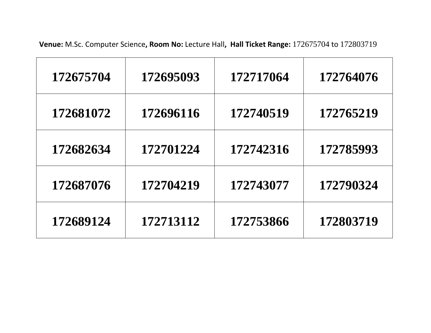**Venue:** M.Sc. Computer Science**, Room No:** Lecture Hall**, Hall Ticket Range:** 172675704 to 172803719

| 172675704 | 172695093 | 172717064 | 172764076 |
|-----------|-----------|-----------|-----------|
| 172681072 | 172696116 | 172740519 | 172765219 |
| 172682634 | 172701224 | 172742316 | 172785993 |
| 172687076 | 172704219 | 172743077 | 172790324 |
| 172689124 | 172713112 | 172753866 | 172803719 |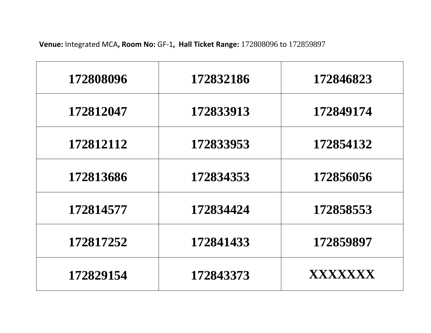**Venue:** Integrated MCA**, Room No:** GF-1**, Hall Ticket Range:** 172808096 to 172859897

| 172832186 | 172846823      |
|-----------|----------------|
| 172833913 | 172849174      |
| 172833953 | 172854132      |
| 172834353 | 172856056      |
| 172834424 | 172858553      |
| 172841433 | 172859897      |
| 172843373 | <b>XXXXXXX</b> |
|           |                |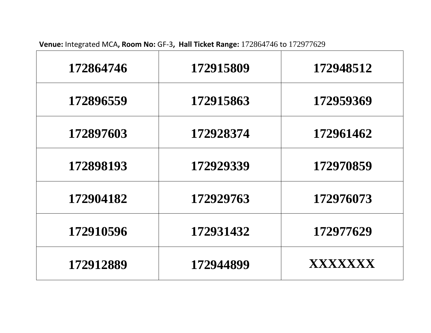**Venue:** Integrated MCA**, Room No:** GF-3**, Hall Ticket Range:** 172864746 to 172977629

| 172864746 | 172915809 | 172948512      |
|-----------|-----------|----------------|
| 172896559 | 172915863 | 172959369      |
| 172897603 | 172928374 | 172961462      |
| 172898193 | 172929339 | 172970859      |
| 172904182 | 172929763 | 172976073      |
| 172910596 | 172931432 | 172977629      |
| 172912889 | 172944899 | <b>XXXXXXX</b> |
|           |           |                |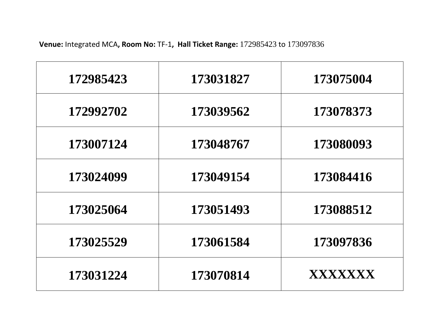**Venue:** Integrated MCA**, Room No:** TF-1**, Hall Ticket Range:** 172985423 to 173097836

| 172985423 | 173031827 | 173075004 |
|-----------|-----------|-----------|
| 172992702 | 173039562 | 173078373 |
| 173007124 | 173048767 | 173080093 |
| 173024099 | 173049154 | 173084416 |
| 173025064 | 173051493 | 173088512 |
| 173025529 | 173061584 | 173097836 |
| 173031224 | 173070814 | XXXXXXX   |
|           |           |           |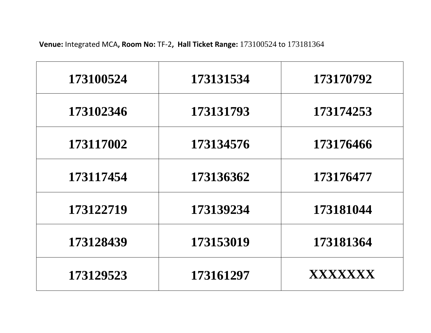**Venue:** Integrated MCA**, Room No:** TF-2**, Hall Ticket Range:** 173100524 to 173181364

| 173100524 | 173131534 | 173170792      |
|-----------|-----------|----------------|
| 173102346 | 173131793 | 173174253      |
| 173117002 | 173134576 | 173176466      |
| 173117454 | 173136362 | 173176477      |
| 173122719 | 173139234 | 173181044      |
| 173128439 | 173153019 | 173181364      |
| 173129523 | 173161297 | <b>XXXXXXX</b> |
|           |           |                |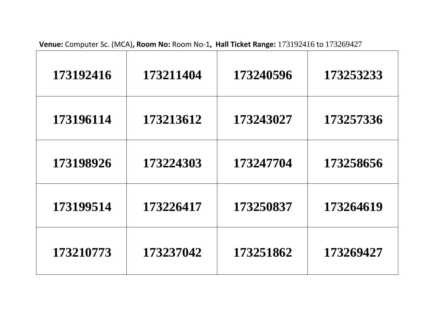**Venue:** Computer Sc. (MCA)**, Room No:** Room No-1**, Hall Ticket Range:** 173192416 to 173269427

| 173192416 | 173211404 | 173240596 | 173253233 |
|-----------|-----------|-----------|-----------|
| 173196114 | 173213612 | 173243027 | 173257336 |
| 173198926 | 173224303 | 173247704 | 173258656 |
| 173199514 | 173226417 | 173250837 | 173264619 |
| 173210773 | 173237042 | 173251862 | 173269427 |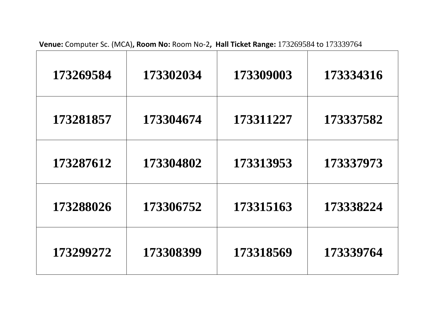**Venue:** Computer Sc. (MCA)**, Room No:** Room No-2**, Hall Ticket Range:** 173269584 to 173339764

| 173269584 | 173302034 | 173309003 | 173334316 |
|-----------|-----------|-----------|-----------|
| 173281857 | 173304674 | 173311227 | 173337582 |
| 173287612 | 173304802 | 173313953 | 173337973 |
| 173288026 | 173306752 | 173315163 | 173338224 |
| 173299272 | 173308399 | 173318569 | 173339764 |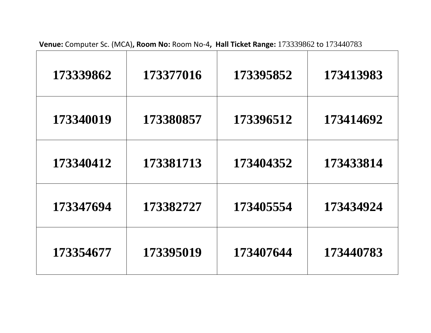**Venue:** Computer Sc. (MCA)**, Room No:** Room No-4**, Hall Ticket Range:** 173339862 to 173440783

| 173339862 | 173377016 | 173395852 | 173413983 |
|-----------|-----------|-----------|-----------|
| 173340019 | 173380857 | 173396512 | 173414692 |
| 173340412 | 173381713 | 173404352 | 173433814 |
| 173347694 | 173382727 | 173405554 | 173434924 |
| 173354677 | 173395019 | 173407644 | 173440783 |